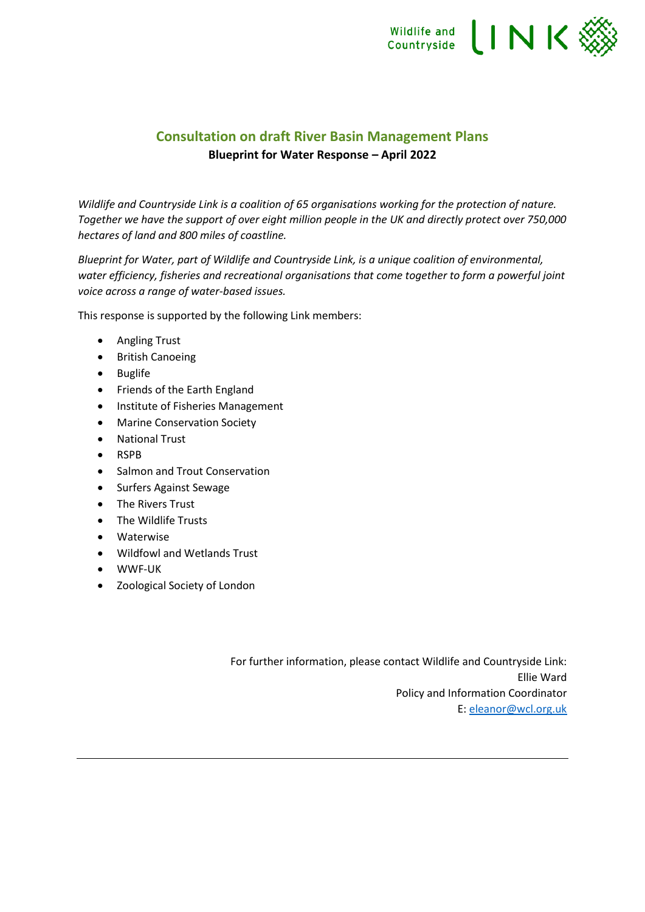

# **Consultation on draft River Basin Management Plans Blueprint for Water Response – April 2022**

*Wildlife and Countryside Link is a coalition of 65 organisations working for the protection of nature. Together we have the support of over eight million people in the UK and directly protect over 750,000 hectares of land and 800 miles of coastline.* 

*Blueprint for Water, part of Wildlife and Countryside Link, is a unique coalition of environmental, water efficiency, fisheries and recreational organisations that come together to form a powerful joint voice across a range of water-based issues.*

This response is supported by the following Link members:

- Angling Trust
- British Canoeing
- Buglife
- Friends of the Earth England
- Institute of Fisheries Management
- Marine Conservation Society
- National Trust
- RSPB
- Salmon and Trout Conservation
- Surfers Against Sewage
- The Rivers Trust
- The Wildlife Trusts
- Waterwise
- Wildfowl and Wetlands Trust
- WWF-UK
- Zoological Society of London

For further information, please contact Wildlife and Countryside Link: Ellie Ward Policy and Information Coordinator E: [eleanor@wcl.org.uk](mailto:eleanor@wcl.org.uk)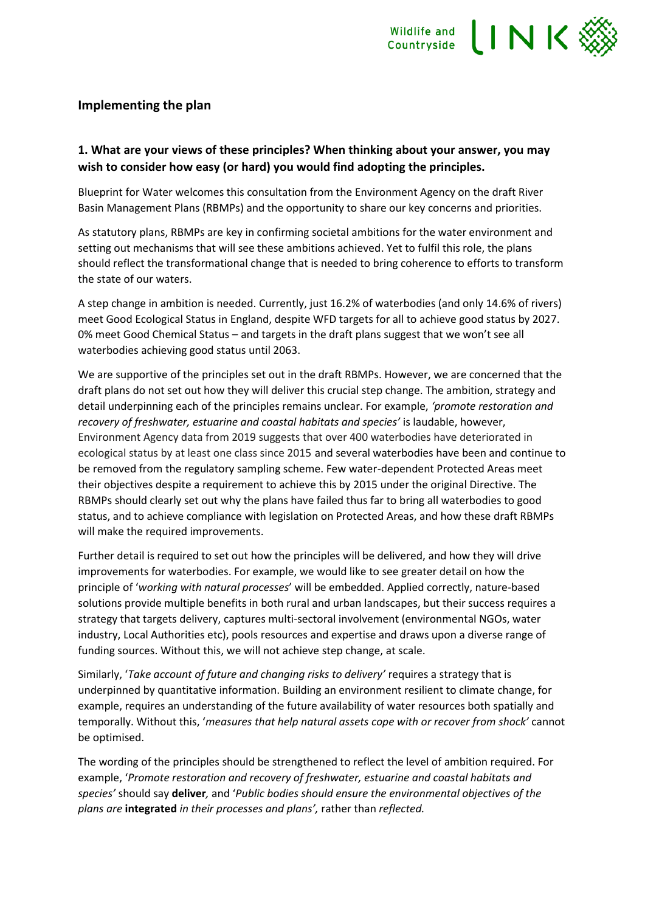

#### **Implementing the plan**

### **1. What are your views of these principles? When thinking about your answer, you may wish to consider how easy (or hard) you would find adopting the principles.**

Blueprint for Water welcomes this consultation from the Environment Agency on the draft River Basin Management Plans (RBMPs) and the opportunity to share our key concerns and priorities.

As statutory plans, RBMPs are key in confirming societal ambitions for the water environment and setting out mechanisms that will see these ambitions achieved. Yet to fulfil this role, the plans should reflect the transformational change that is needed to bring coherence to efforts to transform the state of our waters.

A step change in ambition is needed. Currently, just 16.2% of waterbodies (and only 14.6% of rivers) meet Good Ecological Status in England, despite WFD targets for all to achieve good status by 2027. 0% meet Good Chemical Status – and targets in the draft plans suggest that we won't see all waterbodies achieving good status until 2063.

We are supportive of the principles set out in the draft RBMPs. However, we are concerned that the draft plans do not set out how they will deliver this crucial step change. The ambition, strategy and detail underpinning each of the principles remains unclear. For example, *'promote restoration and recovery of freshwater, estuarine and coastal habitats and species'* is laudable, however, Environment Agency data from 2019 suggests that over 400 waterbodies have deteriorated in ecological status by at least one class since 2015 and several waterbodies have been and continue to be removed from the regulatory sampling scheme. Few water-dependent Protected Areas meet their objectives despite a requirement to achieve this by 2015 under the original Directive. The RBMPs should clearly set out why the plans have failed thus far to bring all waterbodies to good status, and to achieve compliance with legislation on Protected Areas, and how these draft RBMPs will make the required improvements.

Further detail is required to set out how the principles will be delivered, and how they will drive improvements for waterbodies. For example, we would like to see greater detail on how the principle of '*working with natural processes*' will be embedded. Applied correctly, nature-based solutions provide multiple benefits in both rural and urban landscapes, but their success requires a strategy that targets delivery, captures multi-sectoral involvement (environmental NGOs, water industry, Local Authorities etc), pools resources and expertise and draws upon a diverse range of funding sources. Without this, we will not achieve step change, at scale.

Similarly, '*Take account of future and changing risks to delivery'* requires a strategy that is underpinned by quantitative information. Building an environment resilient to climate change, for example, requires an understanding of the future availability of water resources both spatially and temporally. Without this, '*measures that help natural assets cope with or recover from shock'* cannot be optimised.

The wording of the principles should be strengthened to reflect the level of ambition required. For example, '*Promote restoration and recovery of freshwater, estuarine and coastal habitats and species'* should say **deliver***,* and '*Public bodies should ensure the environmental objectives of the plans are* **integrated** *in their processes and plans',* rather than *reflected.*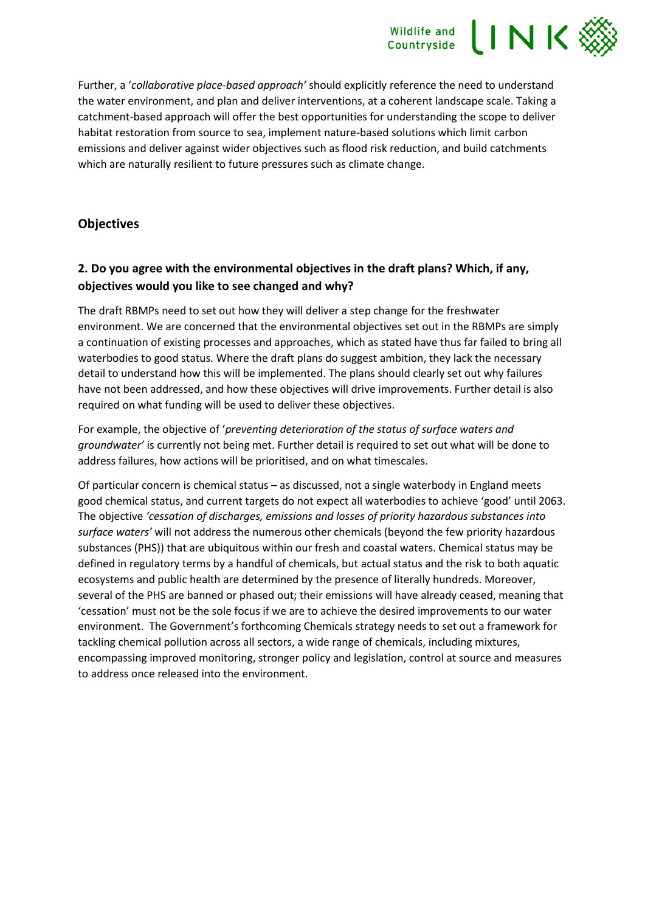

Further, a '*collaborative place-based approach'* should explicitly reference the need to understand the water environment, and plan and deliver interventions, at a coherent landscape scale. Taking a catchment-based approach will offer the best opportunities for understanding the scope to deliver habitat restoration from source to sea, implement nature-based solutions which limit carbon emissions and deliver against wider objectives such as flood risk reduction, and build catchments which are naturally resilient to future pressures such as climate change.

#### **Objectives**

## **2. Do you agree with the environmental objectives in the draft plans? Which, if any, objectives would you like to see changed and why?**

The draft RBMPs need to set out how they will deliver a step change for the freshwater environment. We are concerned that the environmental objectives set out in the RBMPs are simply a continuation of existing processes and approaches, which as stated have thus far failed to bring all waterbodies to good status. Where the draft plans do suggest ambition, they lack the necessary detail to understand how this will be implemented. The plans should clearly set out why failures have not been addressed, and how these objectives will drive improvements. Further detail is also required on what funding will be used to deliver these objectives.

For example, the objective of '*preventing deterioration of the status of surface waters and groundwater'* is currently not being met. Further detail is required to set out what will be done to address failures, how actions will be prioritised, and on what timescales.

Of particular concern is chemical status – as discussed, not a single waterbody in England meets good chemical status, and current targets do not expect all waterbodies to achieve 'good' until 2063. The objective *'cessation of discharges, emissions and losses of priority hazardous substances into surface waters'* will not address the numerous other chemicals (beyond the few priority hazardous substances (PHS)) that are ubiquitous within our fresh and coastal waters. Chemical status may be defined in regulatory terms by a handful of chemicals, but actual status and the risk to both aquatic ecosystems and public health are determined by the presence of literally hundreds. Moreover, several of the PHS are banned or phased out; their emissions will have already ceased, meaning that 'cessation' must not be the sole focus if we are to achieve the desired improvements to our water environment. The Government's forthcoming Chemicals strategy needs to set out a framework for tackling chemical pollution across all sectors, a wide range of chemicals, including mixtures, encompassing improved monitoring, stronger policy and legislation, control at source and measures to address once released into the environment.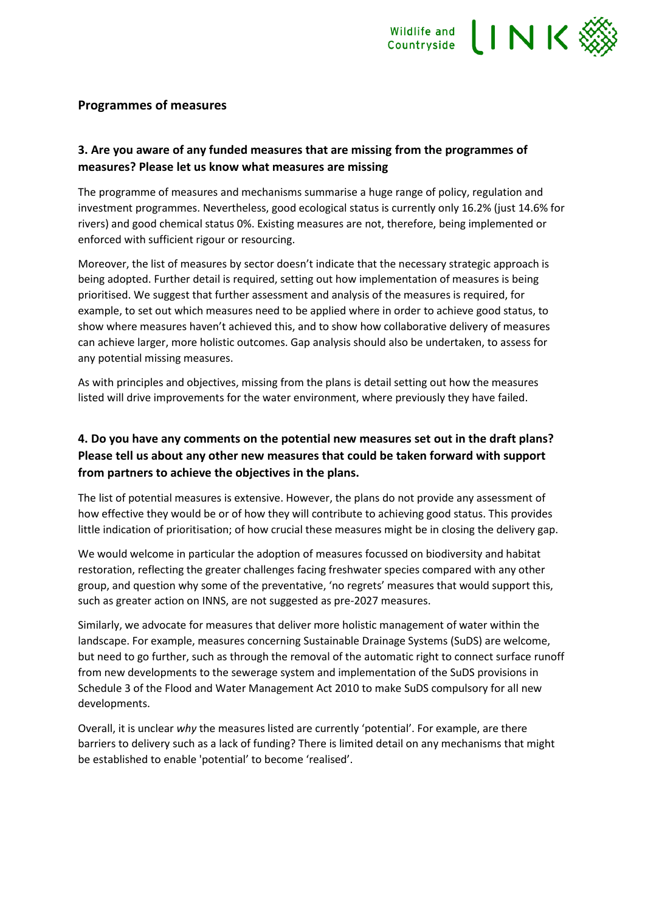

#### **Programmes of measures**

## **3. Are you aware of any funded measures that are missing from the programmes of measures? Please let us know what measures are missing**

The programme of measures and mechanisms summarise a huge range of policy, regulation and investment programmes. Nevertheless, good ecological status is currently only 16.2% (just 14.6% for rivers) and good chemical status 0%. Existing measures are not, therefore, being implemented or enforced with sufficient rigour or resourcing.

Moreover, the list of measures by sector doesn't indicate that the necessary strategic approach is being adopted. Further detail is required, setting out how implementation of measures is being prioritised. We suggest that further assessment and analysis of the measures is required, for example, to set out which measures need to be applied where in order to achieve good status, to show where measures haven't achieved this, and to show how collaborative delivery of measures can achieve larger, more holistic outcomes. Gap analysis should also be undertaken, to assess for any potential missing measures.

As with principles and objectives, missing from the plans is detail setting out how the measures listed will drive improvements for the water environment, where previously they have failed.

## **4. Do you have any comments on the potential new measures set out in the draft plans? Please tell us about any other new measures that could be taken forward with support from partners to achieve the objectives in the plans.**

The list of potential measures is extensive. However, the plans do not provide any assessment of how effective they would be or of how they will contribute to achieving good status. This provides little indication of prioritisation; of how crucial these measures might be in closing the delivery gap.

We would welcome in particular the adoption of measures focussed on biodiversity and habitat restoration, reflecting the greater challenges facing freshwater species compared with any other group, and question why some of the preventative, 'no regrets' measures that would support this, such as greater action on INNS, are not suggested as pre-2027 measures.

Similarly, we advocate for measures that deliver more holistic management of water within the landscape. For example, measures concerning Sustainable Drainage Systems (SuDS) are welcome, but need to go further, such as through the removal of the automatic right to connect surface runoff from new developments to the sewerage system and implementation of the SuDS provisions in Schedule 3 of the Flood and Water Management Act 2010 to make SuDS compulsory for all new developments.

Overall, it is unclear *why* the measures listed are currently 'potential'. For example, are there barriers to delivery such as a lack of funding? There is limited detail on any mechanisms that might be established to enable 'potential' to become 'realised'.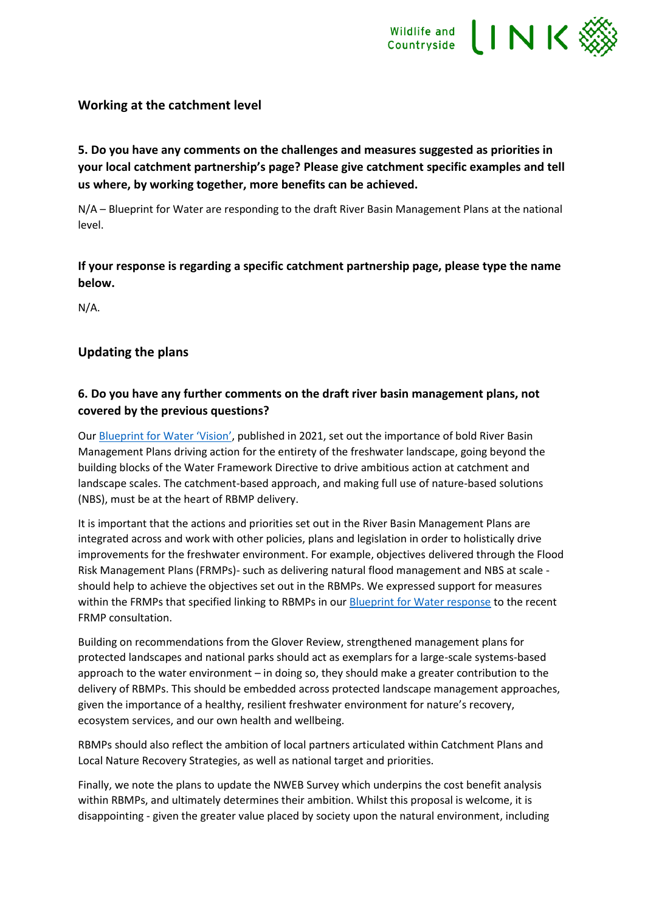

#### **Working at the catchment level**

**5. Do you have any comments on the challenges and measures suggested as priorities in your local catchment partnership's page? Please give catchment specific examples and tell us where, by working together, more benefits can be achieved.**

N/A – Blueprint for Water are responding to the draft River Basin Management Plans at the national level.

**If your response is regarding a specific catchment partnership page, please type the name below.**

N/A.

#### **Updating the plans**

## **6. Do you have any further comments on the draft river basin management plans, not covered by the previous questions?**

Our [Blueprint for Water 'Vision'](https://www.wcl.org.uk/docs/WCL_Blueprint_for_Water_Vision_Report.pdf), published in 2021, set out the importance of bold River Basin Management Plans driving action for the entirety of the freshwater landscape, going beyond the building blocks of the Water Framework Directive to drive ambitious action at catchment and landscape scales. The catchment-based approach, and making full use of nature-based solutions (NBS), must be at the heart of RBMP delivery.

It is important that the actions and priorities set out in the River Basin Management Plans are integrated across and work with other policies, plans and legislation in order to holistically drive improvements for the freshwater environment. For example, objectives delivered through the Flood Risk Management Plans (FRMPs)- such as delivering natural flood management and NBS at scale should help to achieve the objectives set out in the RBMPs. We expressed support for measures within the FRMPs that specified linking to RBMPs in ou[r Blueprint for Water response](https://www.wcl.org.uk/docs/Blueprint_for_Water_Draft_FRMP_consultation_response_21_01_2022.pdf) to the recent FRMP consultation.

Building on recommendations from the Glover Review, strengthened management plans for protected landscapes and national parks should act as exemplars for a large-scale systems-based approach to the water environment – in doing so, they should make a greater contribution to the delivery of RBMPs. This should be embedded across protected landscape management approaches, given the importance of a healthy, resilient freshwater environment for nature's recovery, ecosystem services, and our own health and wellbeing.

RBMPs should also reflect the ambition of local partners articulated within Catchment Plans and Local Nature Recovery Strategies, as well as national target and priorities.

Finally, we note the plans to update the NWEB Survey which underpins the cost benefit analysis within RBMPs, and ultimately determines their ambition. Whilst this proposal is welcome, it is disappointing - given the greater value placed by society upon the natural environment, including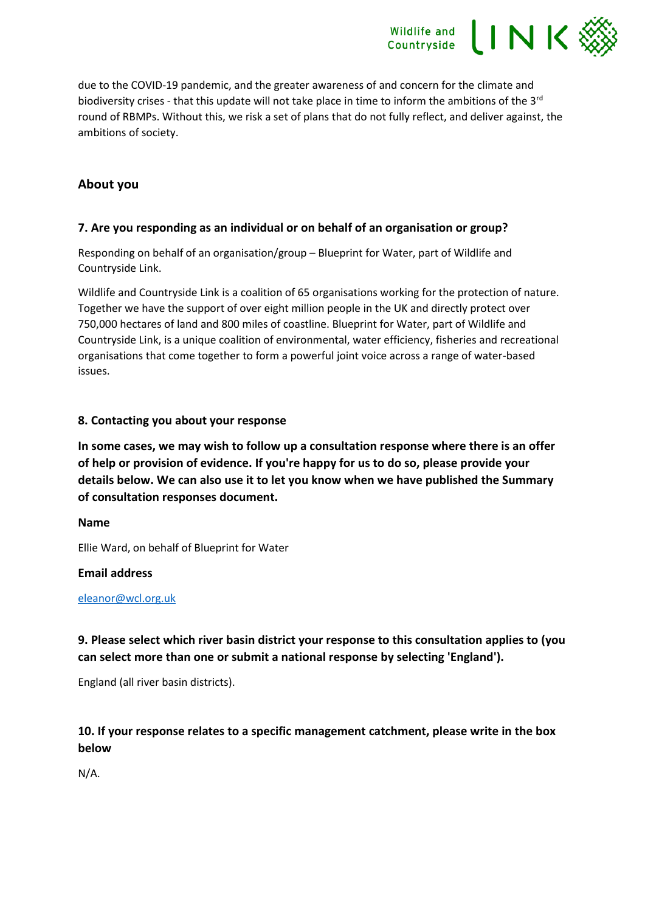due to the COVID-19 pandemic, and the greater awareness of and concern for the climate and biodiversity crises - that this update will not take place in time to inform the ambitions of the 3<sup>rd</sup> round of RBMPs. Without this, we risk a set of plans that do not fully reflect, and deliver against, the ambitions of society.

Wildlife and INK

## **About you**

#### **7. Are you responding as an individual or on behalf of an organisation or group?**

Responding on behalf of an organisation/group – Blueprint for Water, part of Wildlife and Countryside Link.

Wildlife and Countryside Link is a coalition of 65 organisations working for the protection of nature. Together we have the support of over eight million people in the UK and directly protect over 750,000 hectares of land and 800 miles of coastline. Blueprint for Water, part of Wildlife and Countryside Link, is a unique coalition of environmental, water efficiency, fisheries and recreational organisations that come together to form a powerful joint voice across a range of water-based issues.

#### **8. Contacting you about your response**

**In some cases, we may wish to follow up a consultation response where there is an offer of help or provision of evidence. If you're happy for us to do so, please provide your details below. We can also use it to let you know when we have published the Summary of consultation responses document.**

#### **Name**

Ellie Ward, on behalf of Blueprint for Water

#### **Email address**

#### [eleanor@wcl.org.uk](mailto:eleanor@wcl.org.uk)

## **9. Please select which river basin district your response to this consultation applies to (you can select more than one or submit a national response by selecting 'England').**

England (all river basin districts).

## **10. If your response relates to a specific management catchment, please write in the box below**

N/A.